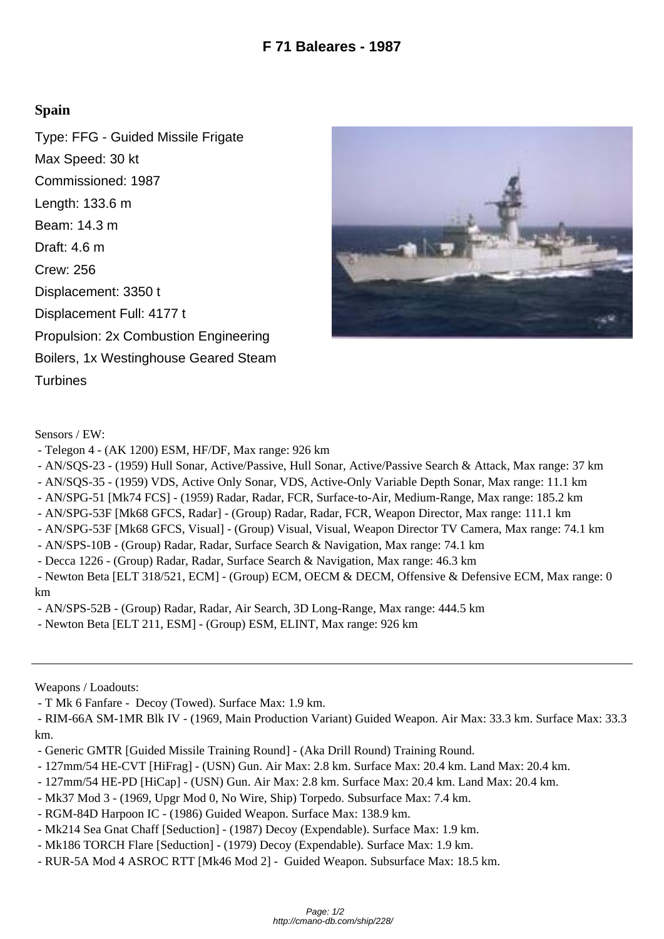## **Spain**

Type: FFG - Guided Missile Frigate Max Speed: 30 kt Commissioned: 1987 Length: 133.6 m Beam: 14.3 m Draft: 4.6 m Crew: 256 Displacement: 3350 t Displacement Full: 4177 t Propulsion: 2x Combustion Engineering Boilers, 1x Westinghouse Geared Steam **Turbines** 



Sensors / EW:

- Telegon 4 (AK 1200) ESM, HF/DF, Max range: 926 km
- AN/SQS-23 (1959) Hull Sonar, Active/Passive, Hull Sonar, Active/Passive Search & Attack, Max range: 37 km
- AN/SQS-35 (1959) VDS, Active Only Sonar, VDS, Active-Only Variable Depth Sonar, Max range: 11.1 km
- AN/SPG-51 [Mk74 FCS] (1959) Radar, Radar, FCR, Surface-to-Air, Medium-Range, Max range: 185.2 km
- AN/SPG-53F [Mk68 GFCS, Radar] (Group) Radar, Radar, FCR, Weapon Director, Max range: 111.1 km
- AN/SPG-53F [Mk68 GFCS, Visual] (Group) Visual, Visual, Weapon Director TV Camera, Max range: 74.1 km
- AN/SPS-10B (Group) Radar, Radar, Surface Search & Navigation, Max range: 74.1 km
- Decca 1226 (Group) Radar, Radar, Surface Search & Navigation, Max range: 46.3 km
- Newton Beta [ELT 318/521, ECM] (Group) ECM, OECM & DECM, Offensive & Defensive ECM, Max range: 0 km
- AN/SPS-52B (Group) Radar, Radar, Air Search, 3D Long-Range, Max range: 444.5 km
- Newton Beta [ELT 211, ESM] (Group) ESM, ELINT, Max range: 926 km

Weapons / Loadouts:

- T Mk 6 Fanfare Decoy (Towed). Surface Max: 1.9 km.
- RIM-66A SM-1MR Blk IV (1969, Main Production Variant) Guided Weapon. Air Max: 33.3 km. Surface Max: 33.3 km.
- Generic GMTR [Guided Missile Training Round] (Aka Drill Round) Training Round.
- 127mm/54 HE-CVT [HiFrag] (USN) Gun. Air Max: 2.8 km. Surface Max: 20.4 km. Land Max: 20.4 km.
- 127mm/54 HE-PD [HiCap] (USN) Gun. Air Max: 2.8 km. Surface Max: 20.4 km. Land Max: 20.4 km.
- Mk37 Mod 3 (1969, Upgr Mod 0, No Wire, Ship) Torpedo. Subsurface Max: 7.4 km.
- RGM-84D Harpoon IC (1986) Guided Weapon. Surface Max: 138.9 km.
- Mk214 Sea Gnat Chaff [Seduction] (1987) Decoy (Expendable). Surface Max: 1.9 km.
- Mk186 TORCH Flare [Seduction] (1979) Decoy (Expendable). Surface Max: 1.9 km.
- RUR-5A Mod 4 ASROC RTT [Mk46 Mod 2] Guided Weapon. Subsurface Max: 18.5 km.